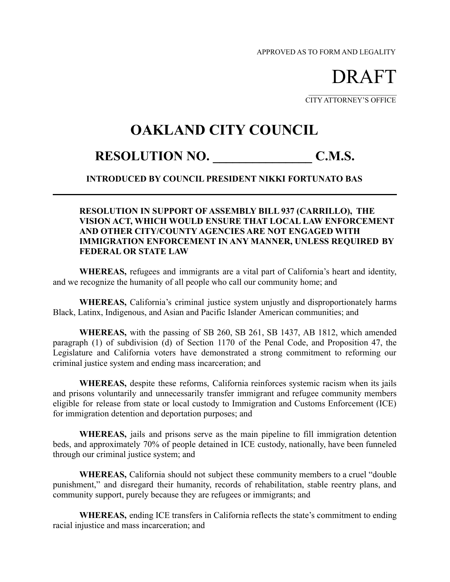APPROVED AS TO FORM AND LEGALITY

DRAFT

 $\mathcal{L}_\text{max}$  , where  $\mathcal{L}_\text{max}$  , we have the set of  $\mathcal{L}_\text{max}$ CITY ATTORNEY'S OFFICE

## **OAKLAND CITY COUNCIL**

## RESOLUTION NO. C.M.S.

## **INTRODUCED BY COUNCIL PRESIDENT NIKKI FORTUNATO BAS**

## **RESOLUTION IN SUPPORT OF ASSEMBLY BILL 937 (CARRILLO), THE VISION ACT, WHICH WOULD ENSURE THAT LOCAL LAW ENFORCEMENT AND OTHER CITY/COUNTY AGENCIES ARE NOT ENGAGED WITH IMMIGRATION ENFORCEMENT IN ANY MANNER, UNLESS REQUIRED BY FEDERAL OR STATE LAW**

**WHEREAS,** refugees and immigrants are a vital part of California's heart and identity, and we recognize the humanity of all people who call our community home; and

**WHEREAS,** California's criminal justice system unjustly and disproportionately harms Black, Latinx, Indigenous, and Asian and Pacific Islander American communities; and

**WHEREAS,** with the passing of SB 260, SB 261, SB 1437, AB 1812, which amended paragraph (1) of subdivision (d) of Section 1170 of the Penal Code, and Proposition 47, the Legislature and California voters have demonstrated a strong commitment to reforming our criminal justice system and ending mass incarceration; and

**WHEREAS,** despite these reforms, California reinforces systemic racism when its jails and prisons voluntarily and unnecessarily transfer immigrant and refugee community members eligible for release from state or local custody to Immigration and Customs Enforcement (ICE) for immigration detention and deportation purposes; and

**WHEREAS,** jails and prisons serve as the main pipeline to fill immigration detention beds, and approximately 70% of people detained in ICE custody, nationally, have been funneled through our criminal justice system; and

**WHEREAS,** California should not subject these community members to a cruel "double punishment," and disregard their humanity, records of rehabilitation, stable reentry plans, and community support, purely because they are refugees or immigrants; and

**WHEREAS,** ending ICE transfers in California reflects the state's commitment to ending racial injustice and mass incarceration; and